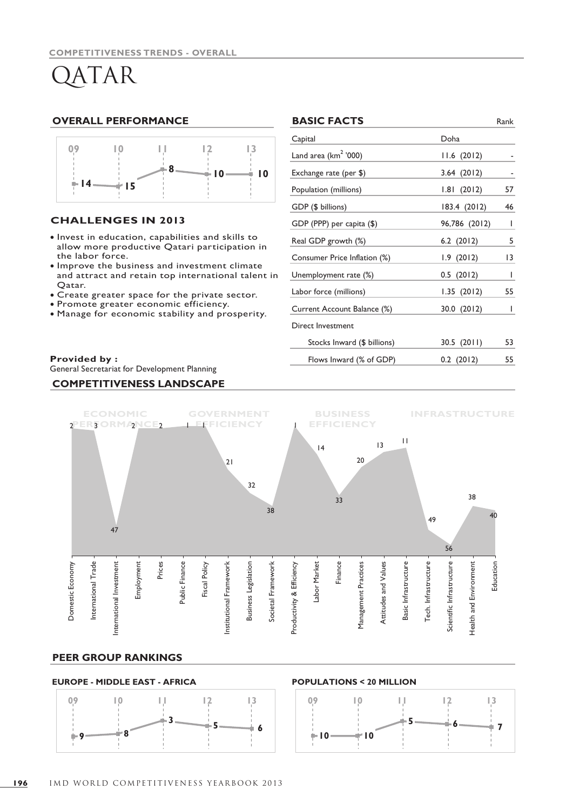# QATAR

#### **OVERALL PERFORMANCE**



### **CHALLENGES IN 2013**

- · Invest in education, capabilities and skills to allow more productive Qatari participation in the labor force.
- $\bullet$  Improve the business and investment climate and attract and retain top international talent in Qatar.
- Create greater space for the private sector. •
- Promote greater economic efficiency. •
- Manage for economic stability and prosperity. •

#### **Provided by :**

General Secretariat for Development Planning

#### **COMPETITIVENESS LANDSCAPE**

|            | <b>BASIC FACTS</b>           |                | Rank         |
|------------|------------------------------|----------------|--------------|
|            | Capital                      | Doha           |              |
|            | Land area ( $km2$ '000)      | 11.6(2012)     |              |
| 10         | Exchange rate (per \$)       | 3.64(2012)     |              |
|            | Population (millions)        | 1.81(2012)     | 57           |
|            | GDP (\$ billions)            | 183.4(2012)    | 46           |
|            | GDP (PPP) per capita (\$)    | 96,786 (2012)  | $\mathbf{I}$ |
| in         | Real GDP growth (%)          | $6.2$ $(2012)$ | 5            |
|            | Consumer Price Inflation (%) | 1.9(2012)      | 13           |
| Ê<br>าt in | Unemployment rate (%)        | 0.5(2012)      | I            |
|            | Labor force (millions)       | 1.35(2012)     | 55           |
|            | Current Account Balance (%)  | 30.0 (2012)    | I            |
| y.         | Direct Investment            |                |              |
|            | Stocks Inward (\$ billions)  | 30.5(2011)     | 53           |
|            | Flows Inward (% of GDP)      | $0.2$ (2012)   | 55           |
|            |                              |                |              |



#### **PEER GROUP RANKINGS**

#### **EUROPE - MIDDLE EAST - AFRICA**



#### **POPULATIONS < 20 MILLION**

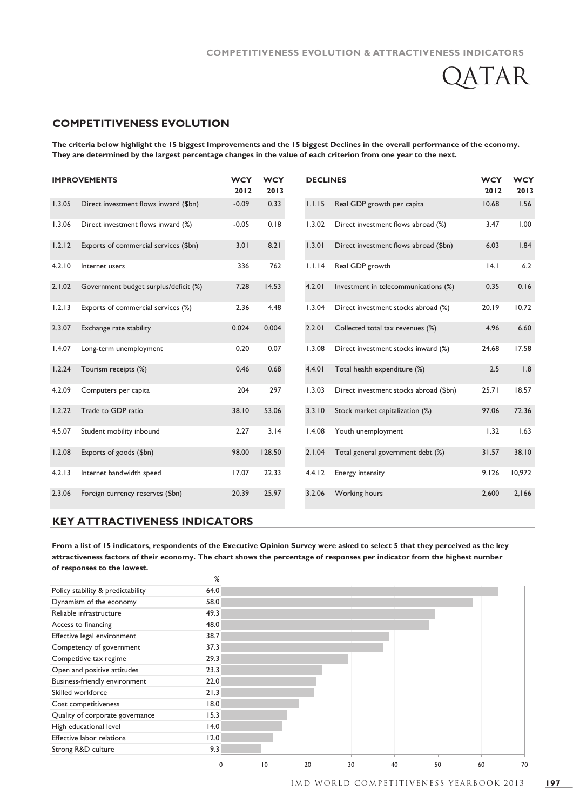$R$ 

### **COMPETITIVENESS EVOLUTION**

**The criteria below highlight the 15 biggest Improvements and the 15 biggest Declines in the overall performance of the economy. They are determined by the largest percentage changes in the value of each criterion from one year to the next.**

| <b>IMPROVEMENTS</b> |                                       | <b>WCY</b><br>2012 | <b>WCY</b><br>2013 | <b>DECLINES</b> |                                        | <b>WCY</b><br>2012 | <b>WCY</b><br>2013 |
|---------------------|---------------------------------------|--------------------|--------------------|-----------------|----------------------------------------|--------------------|--------------------|
| 1.3.05              | Direct investment flows inward (\$bn) | $-0.09$            | 0.33               | 1.1.15          | Real GDP growth per capita             | 10.68              | 1.56               |
| 1.3.06              | Direct investment flows inward (%)    | $-0.05$            | 0.18               | 1.3.02          | Direct investment flows abroad (%)     | 3.47               | 1.00               |
| 1.2.12              | Exports of commercial services (\$bn) | 3.01               | 8.21               | 1.3.01          | Direct investment flows abroad (\$bn)  | 6.03               | 1.84               |
| 4.2.10              | Internet users                        | 336                | 762                | 1.1.14          | Real GDP growth                        | 4.1                | 6.2                |
| 2.1.02              | Government budget surplus/deficit (%) | 7.28               | 14.53              | 4.2.01          | Investment in telecommunications (%)   | 0.35               | 0.16               |
| 1.2.13              | Exports of commercial services (%)    | 2.36               | 4.48               | 1.3.04          | Direct investment stocks abroad (%)    | 20.19              | 10.72              |
| 2.3.07              | Exchange rate stability               | 0.024              | 0.004              | 2.2.01          | Collected total tax revenues (%)       | 4.96               | 6.60               |
| 1.4.07              | Long-term unemployment                | 0.20               | 0.07               | 1.3.08          | Direct investment stocks inward (%)    | 24.68              | 17.58              |
| 1.2.24              | Tourism receipts (%)                  | 0.46               | 0.68               | 4.4.01          | Total health expenditure (%)           | 2.5                | 1.8                |
| 4.2.09              | Computers per capita                  | 204                | 297                | 1.3.03          | Direct investment stocks abroad (\$bn) | 25.71              | 18.57              |
| 1.2.22              | Trade to GDP ratio                    | 38.10              | 53.06              | 3.3.10          | Stock market capitalization (%)        | 97.06              | 72.36              |
| 4.5.07              | Student mobility inbound              | 2.27               | 3.14               | 1.4.08          | Youth unemployment                     | 1.32               | 1.63               |
| 1.2.08              | Exports of goods (\$bn)               | 98.00              | 128.50             | 2.1.04          | Total general government debt (%)      | 31.57              | 38.10              |
| 4.2.13              | Internet bandwidth speed              | 17.07              | 22.33              | 4.4.12          | Energy intensity                       | 9,126              | 10,972             |
| 2.3.06              | Foreign currency reserves (\$bn)      | 20.39              | 25.97              | 3.2.06          | Working hours                          | 2,600              | 2,166              |

## **KEY ATTRACTIVENESS INDICATORS**

**of responses to the lowest. From a list of 15 indicators, respondents of the Executive Opinion Survey were asked to select 5 that they perceived as the key attractiveness factors of their economy. The chart shows the percentage of responses per indicator from the highest number**

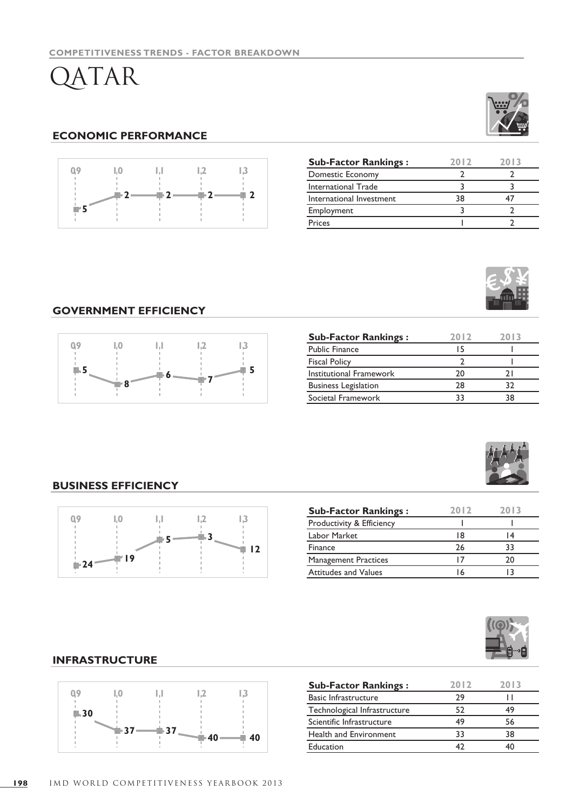# QATAR

## **ECONOMIC PERFORMANCE**



| <b>Sub-Factor Rankings:</b> | 2012 | 2013 |
|-----------------------------|------|------|
| Domestic Economy            |      |      |
| International Trade         |      |      |
| International Investment    | 38   |      |
| Employment                  |      |      |
| Prices                      |      |      |



## **GOVERNMENT EFFICIENCY**



| <b>Sub-Factor Rankings:</b> | 2012 | 2013 |
|-----------------------------|------|------|
| <b>Public Finance</b>       | ٠5   |      |
| <b>Fiscal Policy</b>        |      |      |
| Institutional Framework     | ንበ   |      |
| <b>Business Legislation</b> | 28   |      |
| Societal Framework          |      |      |



## **BUSINESS EFFICIENCY**



| <b>Sub-Factor Rankings:</b> | 2012 | 2013 |
|-----------------------------|------|------|
| Productivity & Efficiency   |      |      |
| Labor Market                | 18   | i 4  |
| Finance                     | 26   | 33   |
| <b>Management Practices</b> |      | 20   |
| <b>Attitudes and Values</b> |      |      |



## **INFRASTRUCTURE**



| <b>Sub-Factor Rankings:</b>  | 2012 | 2013 |
|------------------------------|------|------|
| Basic Infrastructure         | 29   |      |
| Technological Infrastructure | 52   | 49   |
| Scientific Infrastructure    | 49   | 56   |
| Health and Environment       | 33   | 38   |
| Education                    |      |      |